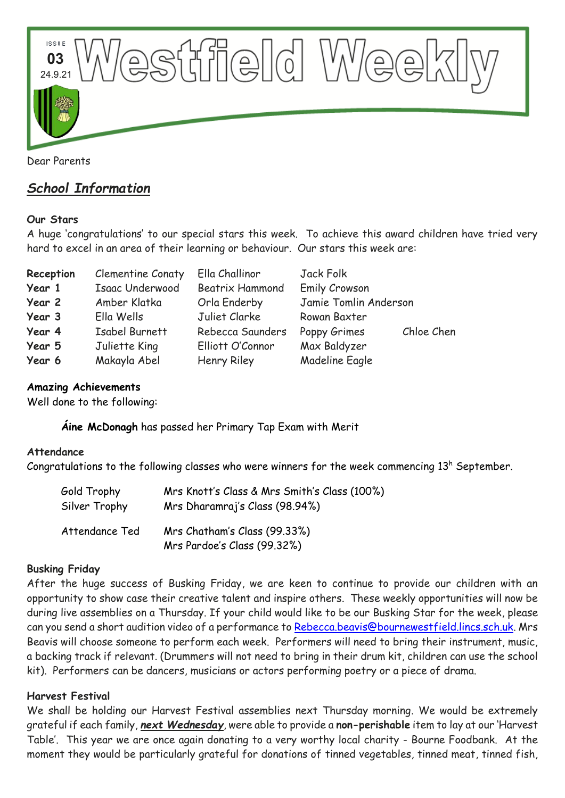

# *School Information*

## **Our Stars**

A huge 'congratulations' to our special stars this week. To achieve this award children have tried very hard to excel in an area of their learning or behaviour. Our stars this week are:

| Reception | Clementine Conaty | Ella Challinor         | Jack Folk             |            |
|-----------|-------------------|------------------------|-----------------------|------------|
| Year 1    | Isaac Underwood   | <b>Beatrix Hammond</b> | <b>Emily Crowson</b>  |            |
| Year 2    | Amber Klatka      | Orla Enderby           | Jamie Tomlin Anderson |            |
| Year 3    | Ella Wells        | Juliet Clarke          | Rowan Baxter          |            |
| Year 4    | Isabel Burnett    | Rebecca Saunders       | Poppy Grimes          | Chloe Chen |
| Year 5    | Juliette King     | Elliott O'Connor       | Max Baldyzer          |            |
| Year 6    | Makayla Abel      | Henry Riley            | <b>Madeline Eagle</b> |            |

#### **Amazing Achievements**

Well done to the following:

**Áine McDonagh** has passed her Primary Tap Exam with Merit

#### **Attendance**

Congratulations to the following classes who were winners for the week commencing  $13<sup>h</sup>$  September.

| Gold Trophy    | Mrs Knott's Class & Mrs Smith's Class (100%)                |
|----------------|-------------------------------------------------------------|
| Silver Trophy  | Mrs Dharamraj's Class (98.94%)                              |
| Attendance Ted | Mrs Chatham's Class (99.33%)<br>Mrs Pardoe's Class (99.32%) |

## **Busking Friday**

After the huge success of Busking Friday, we are keen to continue to provide our children with an opportunity to show case their creative talent and inspire others. These weekly opportunities will now be during live assemblies on a Thursday. If your child would like to be our Busking Star for the week, please can you send a short audition video of a performance to [Rebecca.beavis@bournewestfield.lincs.sch.uk.](mailto:Rebecca.beavis@bournewestfield.lincs.sch.uk) Mrs Beavis will choose someone to perform each week. Performers will need to bring their instrument, music, a backing track if relevant. (Drummers will not need to bring in their drum kit, children can use the school kit). Performers can be dancers, musicians or actors performing poetry or a piece of drama.

## **Harvest Festival**

We shall be holding our Harvest Festival assemblies next Thursday morning. We would be extremely grateful if each family, *next Wednesday*, were able to provide a **non-perishable** item to lay at our 'Harvest Table'. This year we are once again donating to a very worthy local charity - Bourne Foodbank. At the moment they would be particularly grateful for donations of tinned vegetables, tinned meat, tinned fish,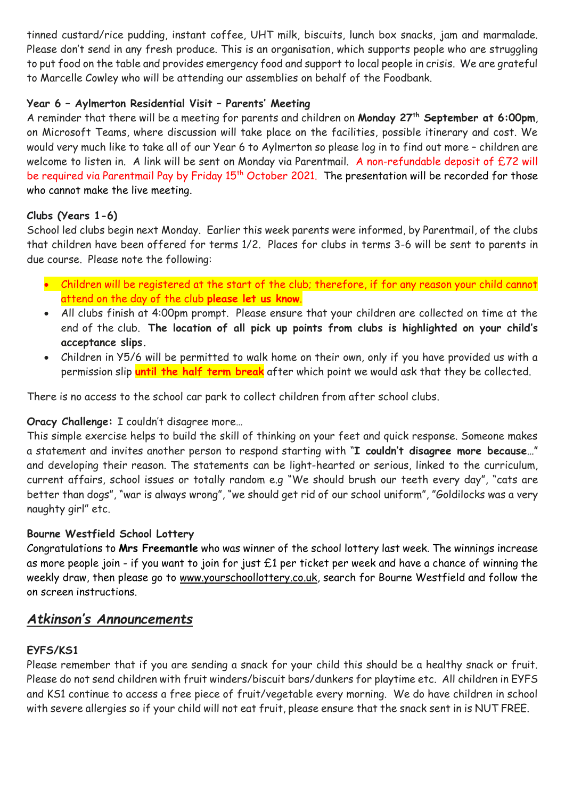tinned custard/rice pudding, instant coffee, UHT milk, biscuits, lunch box snacks, jam and marmalade. Please don't send in any fresh produce. This is an organisation, which supports people who are struggling to put food on the table and provides emergency food and support to local people in crisis. We are grateful to Marcelle Cowley who will be attending our assemblies on behalf of the Foodbank.

## **Year 6 – Aylmerton Residential Visit – Parents' Meeting**

A reminder that there will be a meeting for parents and children on **Monday 27th September at 6:00pm**, on Microsoft Teams, where discussion will take place on the facilities, possible itinerary and cost. We would very much like to take all of our Year 6 to Aylmerton so please log in to find out more – children are welcome to listen in. A link will be sent on Monday via Parentmail. A non-refundable deposit of £72 will be required via Parentmail Pay by Friday 15<sup>th</sup> October 2021. The presentation will be recorded for those who cannot make the live meeting.

## **Clubs (Years 1-6)**

School led clubs begin next Monday. Earlier this week parents were informed, by Parentmail, of the clubs that children have been offered for terms 1/2. Places for clubs in terms 3-6 will be sent to parents in due course. Please note the following:

- Children will be registered at the start of the club; therefore, if for any reason your child cannot attend on the day of the club **please let us know**.
- All clubs finish at 4:00pm prompt. Please ensure that your children are collected on time at the end of the club. **The location of all pick up points from clubs is highlighted on your child's acceptance slips.**
- Children in Y5/6 will be permitted to walk home on their own, only if you have provided us with a permission slip **until the half term break** after which point we would ask that they be collected.

There is no access to the school car park to collect children from after school clubs.

# **Oracy Challenge:** I couldn't disagree more…

This simple exercise helps to build the skill of thinking on your feet and quick response. Someone makes a statement and invites another person to respond starting with "**I couldn't disagree more because…**" and developing their reason. The statements can be light-hearted or serious, linked to the curriculum, current affairs, school issues or totally random e.g "We should brush our teeth every day", "cats are better than dogs", "war is always wrong", "we should get rid of our school uniform", "Goldilocks was a very naughty girl" etc.

## **Bourne Westfield School Lottery**

Congratulations to **Mrs Freemantle** who was winner of the school lottery last week. The winnings increase as more people join - if you want to join for just £1 per ticket per week and have a chance of winning the weekly draw, then please go to [www.yourschoollottery.co.uk,](http://www.yourschoollottery.co.uk/) search for Bourne Westfield and follow the on screen instructions.

# *Atkinson's Announcements*

# **EYFS/KS1**

Please remember that if you are sending a snack for your child this should be a healthy snack or fruit. Please do not send children with fruit winders/biscuit bars/dunkers for playtime etc. All children in EYFS and KS1 continue to access a free piece of fruit/vegetable every morning. We do have children in school with severe allergies so if your child will not eat fruit, please ensure that the snack sent in is NUT FREE.